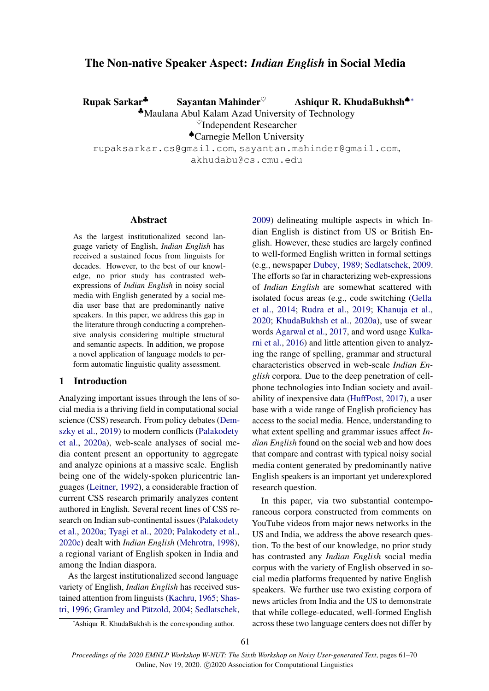# The Non-native Speaker Aspect: *Indian English* in Social Media

Rupak Sarkar<sup>↓</sup> Sayantan Mahinder<sup>♡</sup> Ashiqur R. KhudaBukhsh<sup>♦</sup> \*

♣Maulana Abul Kalam Azad University of Technology

 $\heartsuit$ Independent Researcher

♠Carnegie Mellon University

rupaksarkar.cs@gmail.com, sayantan.mahinder@gmail.com, akhudabu@cs.cmu.edu

## Abstract

As the largest institutionalized second language variety of English, *Indian English* has received a sustained focus from linguists for decades. However, to the best of our knowledge, no prior study has contrasted webexpressions of *Indian English* in noisy social media with English generated by a social media user base that are predominantly native speakers. In this paper, we address this gap in the literature through conducting a comprehensive analysis considering multiple structural and semantic aspects. In addition, we propose a novel application of language models to perform automatic linguistic quality assessment.

## 1 Introduction

Analyzing important issues through the lens of social media is a thriving field in computational social science (CSS) research. From policy debates [\(Dem](#page-4-0)[szky et al.,](#page-4-0) [2019\)](#page-4-0) to modern conflicts [\(Palakodety](#page-6-0) [et al.,](#page-6-0) [2020a\)](#page-6-0), web-scale analyses of social media content present an opportunity to aggregate and analyze opinions at a massive scale. English being one of the widely-spoken pluricentric languages [\(Leitner,](#page-5-0) [1992\)](#page-5-0), a considerable fraction of current CSS research primarily analyzes content authored in English. Several recent lines of CSS research on Indian sub-continental issues [\(Palakodety](#page-6-0) [et al.,](#page-6-0) [2020a;](#page-6-0) [Tyagi et al.,](#page-6-1) [2020;](#page-6-1) [Palakodety et al.,](#page-6-2) [2020c\)](#page-6-2) dealt with *Indian English* [\(Mehrotra,](#page-6-3) [1998\)](#page-6-3), a regional variant of English spoken in India and among the Indian diaspora.

As the largest institutionalized second language variety of English, *Indian English* has received sustained attention from linguists [\(Kachru,](#page-5-1) [1965;](#page-5-1) [Shas](#page-6-4)[tri,](#page-6-4) [1996;](#page-6-4) Gramley and Pätzold, [2004;](#page-5-2) [Sedlatschek,](#page-6-5)

[2009\)](#page-6-5) delineating multiple aspects in which Indian English is distinct from US or British English. However, these studies are largely confined to well-formed English written in formal settings (e.g., newspaper [Dubey,](#page-5-3) [1989;](#page-5-3) [Sedlatschek,](#page-6-5) [2009.](#page-6-5) The efforts so far in characterizing web-expressions of *Indian English* are somewhat scattered with isolated focus areas (e.g., code switching [\(Gella](#page-5-4) [et al.,](#page-5-4) [2014;](#page-5-4) [Rudra et al.,](#page-6-6) [2019;](#page-6-6) [Khanuja et al.,](#page-5-5) [2020;](#page-5-5) [KhudaBukhsh et al.,](#page-5-6) [2020a\)](#page-5-6), use of swear words [Agarwal et al.,](#page-4-1) [2017,](#page-4-1) and word usage [Kulka](#page-5-7)[rni et al.,](#page-5-7) [2016\)](#page-5-7) and little attention given to analyzing the range of spelling, grammar and structural characteristics observed in web-scale *Indian English* corpora. Due to the deep penetration of cellphone technologies into Indian society and availability of inexpensive data [\(HuffPost,](#page-5-8) [2017\)](#page-5-8), a user base with a wide range of English proficiency has access to the social media. Hence, understanding to what extent spelling and grammar issues affect *Indian English* found on the social web and how does that compare and contrast with typical noisy social media content generated by predominantly native English speakers is an important yet underexplored research question.

In this paper, via two substantial contemporaneous corpora constructed from comments on YouTube videos from major news networks in the US and India, we address the above research question. To the best of our knowledge, no prior study has contrasted any *Indian English* social media corpus with the variety of English observed in social media platforms frequented by native English speakers. We further use two existing corpora of news articles from India and the US to demonstrate that while college-educated, well-formed English across these two language centers does not differ by

<sup>∗</sup>Ashiqur R. KhudaBukhsh is the corresponding author.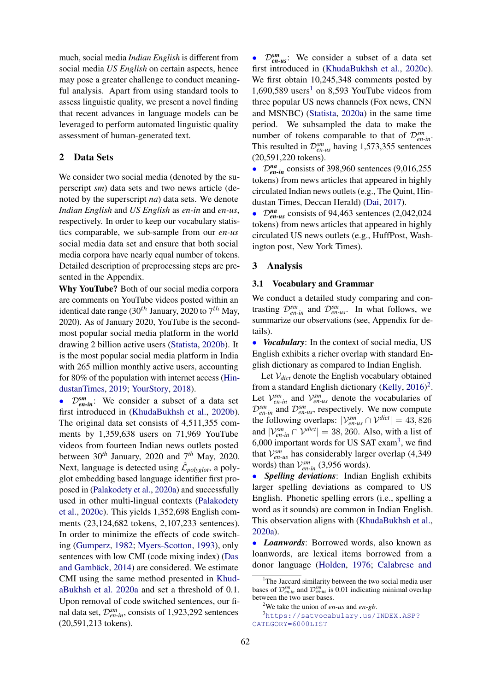much, social media *Indian English* is different from social media *US English* on certain aspects, hence may pose a greater challenge to conduct meaningful analysis. Apart from using standard tools to assess linguistic quality, we present a novel finding that recent advances in language models can be leveraged to perform automated linguistic quality assessment of human-generated text.

## 2 Data Sets

We consider two social media (denoted by the superscript *sm*) data sets and two news article (denoted by the superscript *na*) data sets. We denote *Indian English* and *US English* as *en-in* and *en-us*, respectively. In order to keep our vocabulary statistics comparable, we sub-sample from our *en-us* social media data set and ensure that both social media corpora have nearly equal number of tokens. Detailed description of preprocessing steps are presented in the Appendix.

Why YouTube? Both of our social media corpora are comments on YouTube videos posted within an identical date range (30<sup>th</sup> January, 2020 to 7<sup>th</sup> May, 2020). As of January 2020, YouTube is the secondmost popular social media platform in the world drawing 2 billion active users [\(Statista,](#page-6-7) [2020b\)](#page-6-7). It is the most popular social media platform in India with 265 million monthly active users, accounting for 80% of the population with internet access [\(Hin](#page-5-9)[dustanTimes,](#page-5-9) [2019;](#page-5-9) [YourStory,](#page-6-8) [2018\)](#page-6-8).

• D*sm en-in*: We consider a subset of a data set first introduced in [\(KhudaBukhsh et al.,](#page-5-10) [2020b\)](#page-5-10). The original data set consists of 4,511,355 comments by 1,359,638 users on 71,969 YouTube videos from fourteen Indian news outlets posted between 30*th* January, 2020 and 7*th* May, 2020. Next, language is detected using  $\hat{\mathcal{L}}_{polyglot}$ , a polyglot embedding based language identifier first proposed in [\(Palakodety et al.,](#page-6-0) [2020a\)](#page-6-0) and successfully used in other multi-lingual contexts [\(Palakodety](#page-6-2) [et al.,](#page-6-2) [2020c\)](#page-6-2). This yields 1,352,698 English comments (23,124,682 tokens, 2,107,233 sentences). In order to minimize the effects of code switching [\(Gumperz,](#page-5-11) [1982;](#page-5-11) [Myers-Scotton,](#page-6-9) [1993\)](#page-6-9), only sentences with low CMI (code mixing index) [\(Das](#page-4-2) and Gambäck, [2014\)](#page-4-2) are considered. We estimate CMI using the same method presented in [Khud](#page-5-6)[aBukhsh et al.](#page-5-6) [2020a](#page-5-6) and set a threshold of 0.1. Upon removal of code switched sentences, our final data set, D*sm en-in*, consists of 1,923,292 sentences (20,591,213 tokens).

• D*sm en-us*: We consider a subset of a data set first introduced in [\(KhudaBukhsh et al.,](#page-5-12) [2020c\)](#page-5-12). We first obtain 10,245,348 comments posted by  $1,690,589$  $1,690,589$  users<sup>1</sup> on 8,593 YouTube videos from three popular US news channels (Fox news, CNN and MSNBC) [\(Statista,](#page-6-10) [2020a\)](#page-6-10) in the same time period. We subsampled the data to make the number of tokens comparable to that of  $\mathcal{D}_{en-in}^{sm}$ . This resulted in  $\mathcal{D}_{en-us}^{sm}$  having 1,573,355 sentences (20,591,220 tokens).

 $\cdot$   $\mathcal{D}_{en-in}^{na}$  consists of 398,960 sentences (9,016,255) tokens) from news articles that appeared in highly circulated Indian news outlets (e.g., The Quint, Hindustan Times, Deccan Herald) [\(Dai,](#page-4-3) [2017\)](#page-4-3).

• D*na en-us* consists of 94,463 sentences (2,042,024 tokens) from news articles that appeared in highly circulated US news outlets (e.g., HuffPost, Washington post, New York Times).

### 3 Analysis

## 3.1 Vocabulary and Grammar

We conduct a detailed study comparing and contrasting  $\mathcal{D}_{en-in}^{sm}$  and  $\mathcal{D}_{en-us}^{sm}$ . In what follows, we summarize our observations (see, Appendix for details).

• *Vocabulary*: In the context of social media, US English exhibits a richer overlap with standard English dictionary as compared to Indian English.

Let  $V_{dict}$  denote the English vocabulary obtained from a standard English dictionary [\(Kelly,](#page-5-13)  $2016$  $2016$ )<sup>2</sup>. Let  $V_{en-in}^{sm}$  and  $V_{en-us}^{sm}$  denote the vocabularies of  $\mathcal{D}_{en-in}^{sm}$  and  $\mathcal{D}_{en-us}^{sm}$ , respectively. We now compute the following overlaps:  $|V_{en-us}^{sm} \cap V^{dict}| = 43,826$ and  $|\mathcal{V}_{en-in}^{sm} \cap \mathcal{V}^{dict}| = 38,260$ . Also, with a list of  $6,000$  important words for US SAT exam<sup>[3](#page-1-2)</sup>, we find that  $V_{en-us}^{sm}$  has considerably larger overlap (4,349) words) than  $V_{en-in}^{sm}$  (3,956 words).

• *Spelling deviations*: Indian English exhibits larger spelling deviations as compared to US English. Phonetic spelling errors (i.e., spelling a word as it sounds) are common in Indian English. This observation aligns with [\(KhudaBukhsh et al.,](#page-5-6) [2020a\)](#page-5-6).

• *Loanwords*: Borrowed words, also known as loanwords, are lexical items borrowed from a donor language [\(Holden,](#page-5-14) [1976;](#page-5-14) [Calabrese and](#page-4-4)

<span id="page-1-0"></span><sup>&</sup>lt;sup>1</sup>[The Jaccard similarity between the two social media user](#page-4-4) bases of  $\mathcal{D}_{en-in}^{sm}$  and  $\mathcal{D}_{en-us}^{sm}$  [is 0.01 indicating minimal overlap](#page-4-4) [between the two user bases.](#page-4-4)

<span id="page-1-2"></span><span id="page-1-1"></span><sup>2</sup>[We take the union of](#page-4-4) *en-us* and *en-gb*.

<sup>3</sup>[https://satvocabulary.us/INDEX.ASP?](#page-4-4) [CATEGORY=6000LIST](#page-4-4)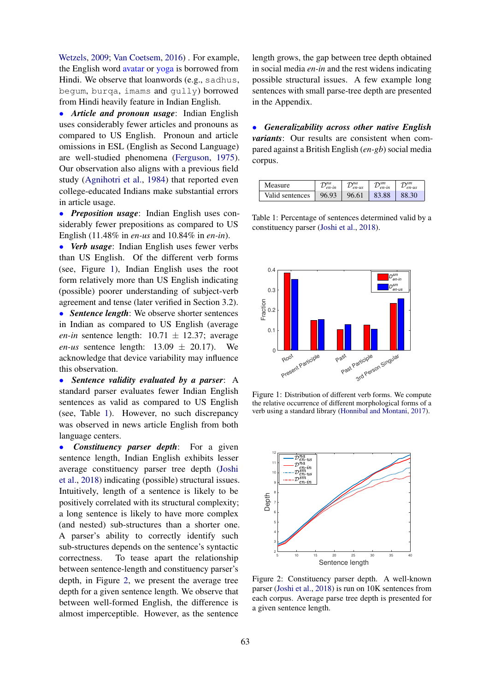[Wetzels,](#page-4-4) [2009;](#page-4-4) [Van Coetsem,](#page-6-11) [2016\)](#page-6-11) . For example, the English word avatar or yoga is borrowed from Hindi. We observe that loanwords (e.g., sadhus, begum, burqa, imams and gully) borrowed from Hindi heavily feature in Indian English.

• *Article and pronoun usage*: Indian English uses considerably fewer articles and pronouns as compared to US English. Pronoun and article omissions in ESL (English as Second Language) are well-studied phenomena [\(Ferguson,](#page-5-15) [1975\)](#page-5-15). Our observation also aligns with a previous field study [\(Agnihotri et al.,](#page-4-5) [1984\)](#page-4-5) that reported even college-educated Indians make substantial errors in article usage.

• *Preposition usage*: Indian English uses considerably fewer prepositions as compared to US English (11.48% in *en-us* and 10.84% in *en-in*).

• *Verb usage*: Indian English uses fewer verbs than US English. Of the different verb forms (see, Figure [1\)](#page-2-0), Indian English uses the root form relatively more than US English indicating (possible) poorer understanding of subject-verb agreement and tense (later verified in Section 3.2). • *Sentence length*: We observe shorter sentences in Indian as compared to US English (average *en-in* sentence length:  $10.71 \pm 12.37$ ; average *en-us* sentence length:  $13.09 \pm 20.17$ . We acknowledge that device variability may influence this observation.

• *Sentence validity evaluated by a parser*: A standard parser evaluates fewer Indian English sentences as valid as compared to US English (see, Table [1\)](#page-2-1). However, no such discrepancy was observed in news article English from both language centers.

• *Constituency parser depth*: For a given sentence length, Indian English exhibits lesser average constituency parser tree depth [\(Joshi](#page-5-16) [et al.,](#page-5-16) [2018\)](#page-5-16) indicating (possible) structural issues. Intuitively, length of a sentence is likely to be positively correlated with its structural complexity; a long sentence is likely to have more complex (and nested) sub-structures than a shorter one. A parser's ability to correctly identify such sub-structures depends on the sentence's syntactic correctness. To tease apart the relationship between sentence-length and constituency parser's depth, in Figure [2,](#page-2-2) we present the average tree depth for a given sentence length. We observe that between well-formed English, the difference is almost imperceptible. However, as the sentence

length grows, the gap between tree depth obtained in social media *en-in* and the rest widens indicating possible structural issues. A few example long sentences with small parse-tree depth are presented in the Appendix.

• *Generalizability across other native English variants*: Our results are consistent when compared against a British English (*en-gb*) social media corpus.

<span id="page-2-1"></span>

| Measure         | $\tau$ na<br>$\nu_{\rho n,in}$ | T <sup>na</sup><br>$en$ -us | $\mathcal{D}_{en-in}^{sm}$ | $\tau$ sm<br>$en$ -us |
|-----------------|--------------------------------|-----------------------------|----------------------------|-----------------------|
| Valid sentences | 96.93                          | 96.61                       | 83.88                      | 88.30                 |

Table 1: Percentage of sentences determined valid by a constituency parser [\(Joshi et al.,](#page-5-16) [2018\)](#page-5-16).

<span id="page-2-0"></span>

Figure 1: Distribution of different verb forms. We compute the relative occurrence of different morphological forms of a verb using a standard library [\(Honnibal and Montani,](#page-5-17) [2017\)](#page-5-17).

<span id="page-2-2"></span>

Figure 2: Constituency parser depth. A well-known parser [\(Joshi et al.,](#page-5-16) [2018\)](#page-5-16) is run on 10K sentences from each corpus. Average parse tree depth is presented for a given sentence length.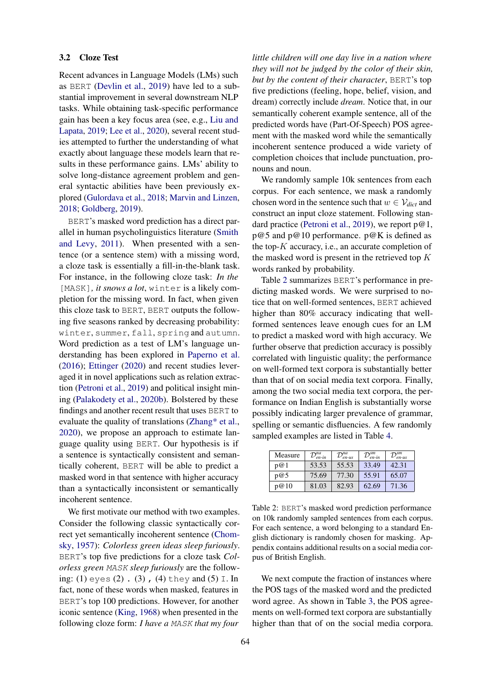## 3.2 Cloze Test

Recent advances in Language Models (LMs) such as BERT [\(Devlin et al.,](#page-5-18) [2019\)](#page-5-18) have led to a substantial improvement in several downstream NLP tasks. While obtaining task-specific performance gain has been a key focus area (see, e.g., [Liu and](#page-5-19) [Lapata,](#page-5-19) [2019;](#page-5-19) [Lee et al.,](#page-5-20) [2020\)](#page-5-20), several recent studies attempted to further the understanding of what exactly about language these models learn that results in these performance gains. LMs' ability to solve long-distance agreement problem and general syntactic abilities have been previously explored [\(Gulordava et al.,](#page-5-21) [2018;](#page-5-21) [Marvin and Linzen,](#page-6-12) [2018;](#page-6-12) [Goldberg,](#page-5-22) [2019\)](#page-5-22).

BERT's masked word prediction has a direct parallel in human psycholinguistics literature [\(Smith](#page-6-13) [and Levy,](#page-6-13) [2011\)](#page-6-13). When presented with a sentence (or a sentence stem) with a missing word, a cloze task is essentially a fill-in-the-blank task. For instance, in the following cloze task: *In the* [MASK]*, it snows a lot*, winter is a likely completion for the missing word. In fact, when given this cloze task to BERT, BERT outputs the following five seasons ranked by decreasing probability: winter, summer, fall, spring and autumn. Word prediction as a test of LM's language understanding has been explored in [Paperno et al.](#page-6-14) [\(2016\)](#page-6-14); [Ettinger](#page-5-23) [\(2020\)](#page-5-23) and recent studies leveraged it in novel applications such as relation extraction [\(Petroni et al.,](#page-6-15) [2019\)](#page-6-15) and political insight mining [\(Palakodety et al.,](#page-6-16) [2020b\)](#page-6-16). Bolstered by these findings and another recent result that uses BERT to evaluate the quality of translations [\(Zhang\\* et al.,](#page-6-17) [2020\)](#page-6-17), we propose an approach to estimate language quality using BERT. Our hypothesis is if a sentence is syntactically consistent and semantically coherent, BERT will be able to predict a masked word in that sentence with higher accuracy than a syntactically inconsistent or semantically incoherent sentence.

We first motivate our method with two examples. Consider the following classic syntactically correct yet semantically incoherent sentence [\(Chom](#page-4-6)[sky,](#page-4-6) [1957\)](#page-4-6): *Colorless green ideas sleep furiously*. BERT's top five predictions for a cloze task *Colorless green* MASK *sleep furiously* are the following: (1) eyes (2) . (3) , (4) they and (5) I. In fact, none of these words when masked, features in BERT's top 100 predictions. However, for another iconic sentence [\(King,](#page-5-24) [1968\)](#page-5-24) when presented in the following cloze form: *I have a* MASK *that my four*

*little children will one day live in a nation where they will not be judged by the color of their skin, but by the content of their character*, BERT's top five predictions (feeling, hope, belief, vision, and dream) correctly include *dream*. Notice that, in our semantically coherent example sentence, all of the predicted words have (Part-Of-Speech) POS agreement with the masked word while the semantically incoherent sentence produced a wide variety of completion choices that include punctuation, pronouns and noun.

We randomly sample 10k sentences from each corpus. For each sentence, we mask a randomly chosen word in the sentence such that  $w \in \mathcal{V}_{dict}$  and construct an input cloze statement. Following stan-dard practice [\(Petroni et al.,](#page-6-15) [2019\)](#page-6-15), we report p@1, p@5 and p@10 performance. p@K is defined as the top- $K$  accuracy, i.e., an accurate completion of the masked word is present in the retrieved top  $K$ words ranked by probability.

Table [2](#page-3-0) summarizes BERT's performance in predicting masked words. We were surprised to notice that on well-formed sentences, BERT achieved higher than 80% accuracy indicating that wellformed sentences leave enough cues for an LM to predict a masked word with high accuracy. We further observe that prediction accuracy is possibly correlated with linguistic quality; the performance on well-formed text corpora is substantially better than that of on social media text corpora. Finally, among the two social media text corpora, the performance on Indian English is substantially worse possibly indicating larger prevalence of grammar, spelling or semantic disfluencies. A few randomly sampled examples are listed in Table [4.](#page-4-7)

<span id="page-3-0"></span>

| Measure | $\mathcal{D}^{na}$<br>$en-in$ | $\mathcal{D}^{na}$<br>en-us | $\mathcal{D}_{en\text{-}in}^{sm}$ | $\mathcal{D}^{sm}$<br>en-us |
|---------|-------------------------------|-----------------------------|-----------------------------------|-----------------------------|
| p@1     | 53.53                         | 55.53                       | 33.49                             | 42.31                       |
| p@5     | 75.69                         | 77.30                       | 55.91                             | 65.07                       |
| p@10    | 81.03                         | 82.93                       | 62.69                             | 71.36                       |

Table 2: BERT's masked word prediction performance on 10k randomly sampled sentences from each corpus. For each sentence, a word belonging to a standard English dictionary is randomly chosen for masking. Appendix contains additional results on a social media corpus of British English.

We next compute the fraction of instances where the POS tags of the masked word and the predicted word agree. As shown in Table [3,](#page-4-8) the POS agreements on well-formed text corpora are substantially higher than that of on the social media corpora.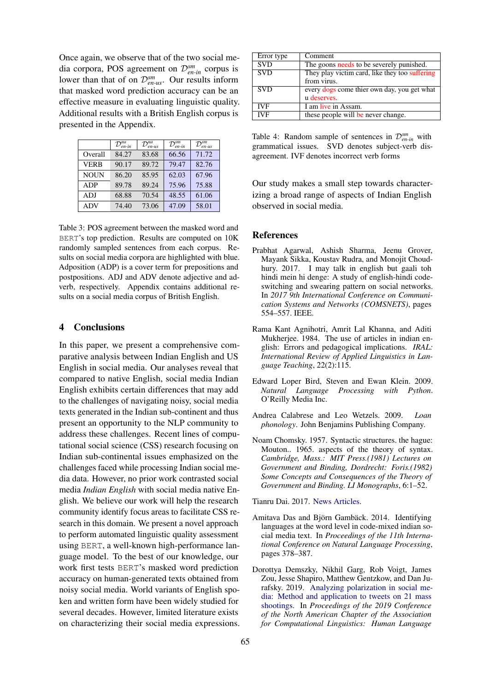Once again, we observe that of the two social media corpora, POS agreement on D*sm en-in* corpus is lower than that of on  $\mathcal{D}_{en-us}^{sm}$ . Our results inform that masked word prediction accuracy can be an effective measure in evaluating linguistic quality. Additional results with a British English corpus is presented in the Appendix.

<span id="page-4-8"></span>

|             | $\mathcal{D}_{en\text{-}in}^{na}$ | $\mathcal{D}_{en-us}^{na}$ | $\mathcal{D}_{en-in}^{sm}$ | $\mathcal{D}_{en-us}^{sm}$ |
|-------------|-----------------------------------|----------------------------|----------------------------|----------------------------|
| Overall     | 84.27                             | 83.68                      | 66.56                      | 71.72                      |
| <b>VERB</b> | 90.17                             | 89.72                      | 79.47                      | 82.76                      |
| <b>NOUN</b> | 86.20                             | 85.95                      | 62.03                      | 67.96                      |
| ADP         | 89.78                             | 89.24                      | 75.96                      | 75.88                      |
| ADJ         | 68.88                             | 70.54                      | 48.55                      | 61.06                      |
| <b>ADV</b>  | 74.40                             | 73.06                      | 47.09                      | 58.01                      |

Table 3: POS agreement between the masked word and BERT's top prediction. Results are computed on 10K randomly sampled sentences from each corpus. Results on social media corpora are highlighted with blue. Adposition (ADP) is a cover term for prepositions and postpositions. ADJ and ADV denote adjective and adverb, respectively. Appendix contains additional results on a social media corpus of British English.

## 4 Conclusions

In this paper, we present a comprehensive comparative analysis between Indian English and US English in social media. Our analyses reveal that compared to native English, social media Indian English exhibits certain differences that may add to the challenges of navigating noisy, social media texts generated in the Indian sub-continent and thus present an opportunity to the NLP community to address these challenges. Recent lines of computational social science (CSS) research focusing on Indian sub-continental issues emphasized on the challenges faced while processing Indian social media data. However, no prior work contrasted social media *Indian English* with social media native English. We believe our work will help the research community identify focus areas to facilitate CSS research in this domain. We present a novel approach to perform automated linguistic quality assessment using BERT, a well-known high-performance language model. To the best of our knowledge, our work first tests BERT's masked word prediction accuracy on human-generated texts obtained from noisy social media. World variants of English spoken and written form have been widely studied for several decades. However, limited literature exists on characterizing their social media expressions.

<span id="page-4-7"></span>

| Error type | Comment                                        |
|------------|------------------------------------------------|
| <b>SVD</b> | The goons needs to be severely punished.       |
| <b>SVD</b> | They play victim card, like they too suffering |
|            | from virus.                                    |
| <b>SVD</b> | every dogs come thier own day, you get what    |
|            | <i>u</i> deserves.                             |
| <b>IVF</b> | I am live in Assam.                            |
| <b>IVF</b> | these people will be never change.             |

Table 4: Random sample of sentences in  $\mathcal{D}_{en-in}^{sm}$  with grammatical issues. SVD denotes subject-verb disagreement. IVF denotes incorrect verb forms

Our study makes a small step towards characterizing a broad range of aspects of Indian English observed in social media.

#### References

- <span id="page-4-1"></span>Prabhat Agarwal, Ashish Sharma, Jeenu Grover, Mayank Sikka, Koustav Rudra, and Monojit Choudhury. 2017. I may talk in english but gaali toh hindi mein hi denge: A study of english-hindi codeswitching and swearing pattern on social networks. In *2017 9th International Conference on Communication Systems and Networks (COMSNETS)*, pages 554–557. IEEE.
- <span id="page-4-5"></span>Rama Kant Agnihotri, Amrit Lal Khanna, and Aditi Mukherjee. 1984. The use of articles in indian english: Errors and pedagogical implications. *IRAL: International Review of Applied Linguistics in Language Teaching*, 22(2):115.
- <span id="page-4-9"></span>Edward Loper Bird, Steven and Ewan Klein. 2009. *Natural Language Processing with Python*. O'Reilly Media Inc.
- <span id="page-4-4"></span>Andrea Calabrese and Leo Wetzels. 2009. *Loan phonology*. John Benjamins Publishing Company.
- <span id="page-4-6"></span>Noam Chomsky. 1957. Syntactic structures. the hague: Mouton.. 1965. aspects of the theory of syntax. *Cambridge, Mass.: MIT Press.(1981) Lectures on Government and Binding, Dordrecht: Foris.(1982) Some Concepts and Consequences of the Theory of Government and Binding. LI Monographs*, 6:1–52.

<span id="page-4-3"></span>Tianru Dai. 2017. [News Articles.](https://doi.org/10.7910/DVN/GMFCTR)

- <span id="page-4-2"></span>Amitava Das and Biörn Gambäck. 2014. Identifying languages at the word level in code-mixed indian social media text. In *Proceedings of the 11th International Conference on Natural Language Processing*, pages 378–387.
- <span id="page-4-0"></span>Dorottya Demszky, Nikhil Garg, Rob Voigt, James Zou, Jesse Shapiro, Matthew Gentzkow, and Dan Jurafsky. 2019. [Analyzing polarization in social me](https://doi.org/10.18653/v1/N19-1304)[dia: Method and application to tweets on 21 mass](https://doi.org/10.18653/v1/N19-1304) [shootings.](https://doi.org/10.18653/v1/N19-1304) In *Proceedings of the 2019 Conference of the North American Chapter of the Association for Computational Linguistics: Human Language*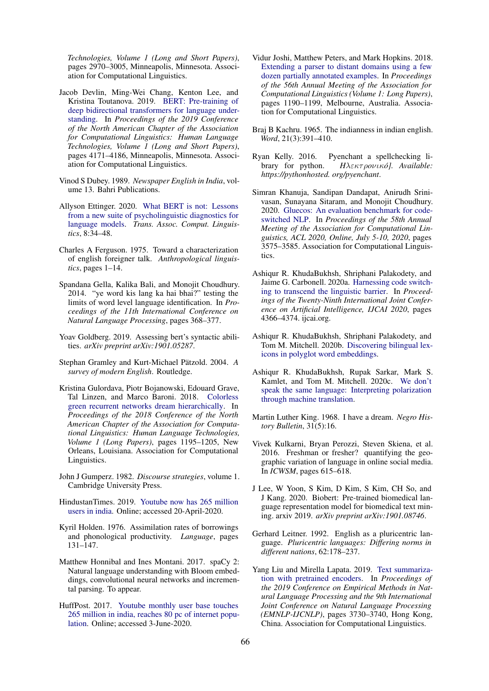*Technologies, Volume 1 (Long and Short Papers)*, pages 2970–3005, Minneapolis, Minnesota. Association for Computational Linguistics.

- <span id="page-5-18"></span>Jacob Devlin, Ming-Wei Chang, Kenton Lee, and Kristina Toutanova. 2019. [BERT: Pre-training of](https://doi.org/10.18653/v1/N19-1423) [deep bidirectional transformers for language under](https://doi.org/10.18653/v1/N19-1423)[standing.](https://doi.org/10.18653/v1/N19-1423) In *Proceedings of the 2019 Conference of the North American Chapter of the Association for Computational Linguistics: Human Language Technologies, Volume 1 (Long and Short Papers)*, pages 4171–4186, Minneapolis, Minnesota. Association for Computational Linguistics.
- <span id="page-5-3"></span>Vinod S Dubey. 1989. *Newspaper English in India*, volume 13. Bahri Publications.
- <span id="page-5-23"></span>Allyson Ettinger. 2020. [What BERT is not: Lessons](https://transacl.org/ojs/index.php/tacl/article/view/1852) [from a new suite of psycholinguistic diagnostics for](https://transacl.org/ojs/index.php/tacl/article/view/1852) [language models.](https://transacl.org/ojs/index.php/tacl/article/view/1852) *Trans. Assoc. Comput. Linguistics*, 8:34–48.
- <span id="page-5-15"></span>Charles A Ferguson. 1975. Toward a characterization of english foreigner talk. *Anthropological linguistics*, pages 1–14.
- <span id="page-5-4"></span>Spandana Gella, Kalika Bali, and Monojit Choudhury. 2014. "ye word kis lang ka hai bhai?" testing the limits of word level language identification. In *Proceedings of the 11th International Conference on Natural Language Processing*, pages 368–377.
- <span id="page-5-22"></span>Yoav Goldberg. 2019. Assessing bert's syntactic abilities. *arXiv preprint arXiv:1901.05287*.
- <span id="page-5-2"></span>Stephan Gramley and Kurt-Michael Pätzold. 2004. A *survey of modern English*. Routledge.
- <span id="page-5-21"></span>Kristina Gulordava, Piotr Bojanowski, Edouard Grave, Tal Linzen, and Marco Baroni. 2018. [Colorless](https://doi.org/10.18653/v1/N18-1108) [green recurrent networks dream hierarchically.](https://doi.org/10.18653/v1/N18-1108) In *Proceedings of the 2018 Conference of the North American Chapter of the Association for Computational Linguistics: Human Language Technologies, Volume 1 (Long Papers)*, pages 1195–1205, New Orleans, Louisiana. Association for Computational Linguistics.
- <span id="page-5-11"></span>John J Gumperz. 1982. *Discourse strategies*, volume 1. Cambridge University Press.
- <span id="page-5-9"></span>HindustanTimes. 2019. [Youtube now has 265 million](https://www.hindustantimes.com/tech/youtube-now-has-265-million-users-in-india/story-j5njXtLHZCQ0PCwb57s40O.html) [users in india.](https://www.hindustantimes.com/tech/youtube-now-has-265-million-users-in-india/story-j5njXtLHZCQ0PCwb57s40O.html) Online; accessed 20-April-2020.
- <span id="page-5-14"></span>Kyril Holden. 1976. Assimilation rates of borrowings and phonological productivity. *Language*, pages 131–147.
- <span id="page-5-17"></span>Matthew Honnibal and Ines Montani. 2017. spaCy 2: Natural language understanding with Bloom embeddings, convolutional neural networks and incremental parsing. To appear.
- <span id="page-5-8"></span>HuffPost. 2017. [Youtube monthly user base touches](https://www.huffingtonpost.in/2017/06/01/reliance-jio-is-driving-indian-internet-growth-says-the-mary-me_a_22120777/) [265 million in india, reaches 80 pc of internet popu](https://www.huffingtonpost.in/2017/06/01/reliance-jio-is-driving-indian-internet-growth-says-the-mary-me_a_22120777/)[lation.](https://www.huffingtonpost.in/2017/06/01/reliance-jio-is-driving-indian-internet-growth-says-the-mary-me_a_22120777/) Online; accessed 3-June-2020.
- <span id="page-5-16"></span>Vidur Joshi, Matthew Peters, and Mark Hopkins. 2018. [Extending a parser to distant domains using a few](https://doi.org/10.18653/v1/P18-1110) [dozen partially annotated examples.](https://doi.org/10.18653/v1/P18-1110) In *Proceedings of the 56th Annual Meeting of the Association for Computational Linguistics (Volume 1: Long Papers)*, pages 1190–1199, Melbourne, Australia. Association for Computational Linguistics.
- <span id="page-5-1"></span>Braj B Kachru. 1965. The indianness in indian english. *Word*, 21(3):391–410.
- <span id="page-5-13"></span>Ryan Kelly. 2016. Pyenchant a spellchecking library for python. *H*λεκτ ρ*o*νικ*o]. Available: ´ https://pythonhosted. org/pyenchant*.
- <span id="page-5-5"></span>Simran Khanuja, Sandipan Dandapat, Anirudh Srinivasan, Sunayana Sitaram, and Monojit Choudhury. 2020. [Gluecos: An evaluation benchmark for code](https://www.aclweb.org/anthology/2020.acl-main.329/)[switched NLP.](https://www.aclweb.org/anthology/2020.acl-main.329/) In *Proceedings of the 58th Annual Meeting of the Association for Computational Linguistics, ACL 2020, Online, July 5-10, 2020*, pages 3575–3585. Association for Computational Linguistics.
- <span id="page-5-6"></span>Ashiqur R. KhudaBukhsh, Shriphani Palakodety, and Jaime G. Carbonell. 2020a. [Harnessing code switch](https://doi.org/10.24963/ijcai.2020/602)[ing to transcend the linguistic barrier.](https://doi.org/10.24963/ijcai.2020/602) In *Proceedings of the Twenty-Ninth International Joint Conference on Artificial Intelligence, IJCAI 2020*, pages 4366–4374. ijcai.org.
- <span id="page-5-10"></span>Ashiqur R. KhudaBukhsh, Shriphani Palakodety, and Tom M. Mitchell. 2020b. [Discovering bilingual lex](http://arxiv.org/abs/2008.13347)[icons in polyglot word embeddings.](http://arxiv.org/abs/2008.13347)
- <span id="page-5-12"></span>Ashiqur R. KhudaBukhsh, Rupak Sarkar, Mark S. Kamlet, and Tom M. Mitchell. 2020c. [We don't](http://arxiv.org/abs/2010.02339) [speak the same language: Interpreting polarization](http://arxiv.org/abs/2010.02339) [through machine translation.](http://arxiv.org/abs/2010.02339)
- <span id="page-5-24"></span>Martin Luther King. 1968. I have a dream. *Negro History Bulletin*, 31(5):16.
- <span id="page-5-7"></span>Vivek Kulkarni, Bryan Perozzi, Steven Skiena, et al. 2016. Freshman or fresher? quantifying the geographic variation of language in online social media. In *ICWSM*, pages 615–618.
- <span id="page-5-20"></span>J Lee, W Yoon, S Kim, D Kim, S Kim, CH So, and J Kang. 2020. Biobert: Pre-trained biomedical language representation model for biomedical text mining. arxiv 2019. *arXiv preprint arXiv:1901.08746*.
- <span id="page-5-0"></span>Gerhard Leitner. 1992. English as a pluricentric language. *Pluricentric languages: Differing norms in different nations*, 62:178–237.
- <span id="page-5-19"></span>Yang Liu and Mirella Lapata. 2019. [Text summariza](https://doi.org/10.18653/v1/D19-1387)[tion with pretrained encoders.](https://doi.org/10.18653/v1/D19-1387) In *Proceedings of the 2019 Conference on Empirical Methods in Natural Language Processing and the 9th International Joint Conference on Natural Language Processing (EMNLP-IJCNLP)*, pages 3730–3740, Hong Kong, China. Association for Computational Linguistics.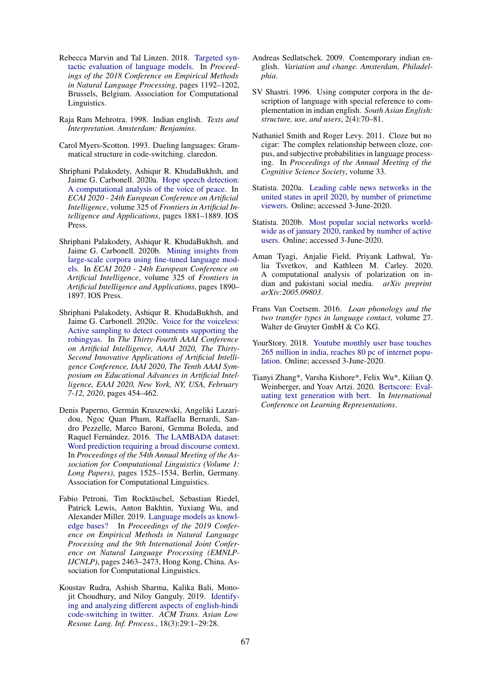- <span id="page-6-12"></span>Rebecca Marvin and Tal Linzen. 2018. [Targeted syn](https://doi.org/10.18653/v1/D18-1151)[tactic evaluation of language models.](https://doi.org/10.18653/v1/D18-1151) In *Proceedings of the 2018 Conference on Empirical Methods in Natural Language Processing*, pages 1192–1202, Brussels, Belgium. Association for Computational Linguistics.
- <span id="page-6-3"></span>Raja Ram Mehrotra. 1998. Indian english. *Texts and Interpretation. Amsterdam: Benjamins*.
- <span id="page-6-9"></span>Carol Myers-Scotton. 1993. Dueling languages: Grammatical structure in code-switching. claredon.
- <span id="page-6-0"></span>Shriphani Palakodety, Ashiqur R. KhudaBukhsh, and Jaime G. Carbonell. 2020a. [Hope speech detection:](https://doi.org/10.3233/FAIA200305) [A computational analysis of the voice of peace.](https://doi.org/10.3233/FAIA200305) In *ECAI 2020 - 24th European Conference on Artificial Intelligence*, volume 325 of *Frontiers in Artificial Intelligence and Applications*, pages 1881–1889. IOS Press.
- <span id="page-6-16"></span>Shriphani Palakodety, Ashiqur R. KhudaBukhsh, and Jaime G. Carbonell. 2020b. [Mining insights from](https://doi.org/10.3233/FAIA200306) [large-scale corpora using fine-tuned language mod](https://doi.org/10.3233/FAIA200306)[els.](https://doi.org/10.3233/FAIA200306) In *ECAI 2020 - 24th European Conference on Artificial Intelligence*, volume 325 of *Frontiers in Artificial Intelligence and Applications*, pages 1890– 1897. IOS Press.
- <span id="page-6-2"></span>Shriphani Palakodety, Ashiqur R. KhudaBukhsh, and Jaime G. Carbonell. 2020c. [Voice for the voiceless:](https://aaai.org/ojs/index.php/AAAI/article/view/5382) [Active sampling to detect comments supporting the](https://aaai.org/ojs/index.php/AAAI/article/view/5382) [rohingyas.](https://aaai.org/ojs/index.php/AAAI/article/view/5382) In *The Thirty-Fourth AAAI Conference on Artificial Intelligence, AAAI 2020, The Thirty-Second Innovative Applications of Artificial Intelligence Conference, IAAI 2020, The Tenth AAAI Symposium on Educational Advances in Artificial Intelligence, EAAI 2020, New York, NY, USA, February 7-12, 2020*, pages 454–462.
- <span id="page-6-14"></span>Denis Paperno, Germán Kruszewski, Angeliki Lazaridou, Ngoc Quan Pham, Raffaella Bernardi, Sandro Pezzelle, Marco Baroni, Gemma Boleda, and Raquel Fernández. 2016. [The LAMBADA dataset:](https://doi.org/10.18653/v1/P16-1144) [Word prediction requiring a broad discourse context.](https://doi.org/10.18653/v1/P16-1144) In *Proceedings of the 54th Annual Meeting of the Association for Computational Linguistics (Volume 1: Long Papers)*, pages 1525–1534, Berlin, Germany. Association for Computational Linguistics.
- <span id="page-6-15"></span>Fabio Petroni, Tim Rocktäschel, Sebastian Riedel, Patrick Lewis, Anton Bakhtin, Yuxiang Wu, and Alexander Miller. 2019. [Language models as knowl](https://doi.org/10.18653/v1/D19-1250)[edge bases?](https://doi.org/10.18653/v1/D19-1250) In *Proceedings of the 2019 Conference on Empirical Methods in Natural Language Processing and the 9th International Joint Conference on Natural Language Processing (EMNLP-IJCNLP)*, pages 2463–2473, Hong Kong, China. Association for Computational Linguistics.
- <span id="page-6-6"></span>Koustav Rudra, Ashish Sharma, Kalika Bali, Monojit Choudhury, and Niloy Ganguly. 2019. [Identify](https://doi.org/10.1145/3314935)[ing and analyzing different aspects of english-hindi](https://doi.org/10.1145/3314935) [code-switching in twitter.](https://doi.org/10.1145/3314935) *ACM Trans. Asian Low Resour. Lang. Inf. Process.*, 18(3):29:1–29:28.
- <span id="page-6-5"></span>Andreas Sedlatschek. 2009. Contemporary indian english. *Variation and change. Amsterdam, Philadelphia*.
- <span id="page-6-4"></span>SV Shastri. 1996. Using computer corpora in the description of language with special reference to complementation in indian english. *South Asian English: structure, use, and users*, 2(4):70–81.
- <span id="page-6-13"></span>Nathaniel Smith and Roger Levy. 2011. Cloze but no cigar: The complex relationship between cloze, corpus, and subjective probabilities in language processing. In *Proceedings of the Annual Meeting of the Cognitive Science Society*, volume 33.
- <span id="page-6-10"></span>Statista. 2020a. [Leading cable news networks in the](https://www.statista.com/statistics/373814/cable-news-network-viewership-usa/) [united states in april 2020, by number of primetime](https://www.statista.com/statistics/373814/cable-news-network-viewership-usa/) [viewers.](https://www.statista.com/statistics/373814/cable-news-network-viewership-usa/) Online; accessed 3-June-2020.
- <span id="page-6-7"></span>Statista. 2020b. [Most popular social networks world](https://www.statista.com/statistics/272014/global-social-networks-ranked-by-number-of-users/)[wide as of january 2020, ranked by number of active](https://www.statista.com/statistics/272014/global-social-networks-ranked-by-number-of-users/) [users.](https://www.statista.com/statistics/272014/global-social-networks-ranked-by-number-of-users/) Online; accessed 3-June-2020.
- <span id="page-6-1"></span>Aman Tyagi, Anjalie Field, Priyank Lathwal, Yulia Tsvetkov, and Kathleen M. Carley. 2020. A computational analysis of polarization on indian and pakistani social media. *arXiv preprint arXiv:2005.09803*.
- <span id="page-6-11"></span>Frans Van Coetsem. 2016. *Loan phonology and the two transfer types in language contact*, volume 27. Walter de Gruyter GmbH & Co KG.
- <span id="page-6-8"></span>YourStory. 2018. [Youtube monthly user base touches](https://yourstory.com/2018/03/youtube-monthly-user-base-touches-225-million-india-reaches-80-pc-internet-population) [265 million in india, reaches 80 pc of internet popu](https://yourstory.com/2018/03/youtube-monthly-user-base-touches-225-million-india-reaches-80-pc-internet-population)[lation.](https://yourstory.com/2018/03/youtube-monthly-user-base-touches-225-million-india-reaches-80-pc-internet-population) Online; accessed 3-June-2020.
- <span id="page-6-17"></span>Tianyi Zhang\*, Varsha Kishore\*, Felix Wu\*, Kilian Q. Weinberger, and Yoav Artzi. 2020. [Bertscore: Eval](https://openreview.net/forum?id=SkeHuCVFDr)[uating text generation with bert.](https://openreview.net/forum?id=SkeHuCVFDr) In *International Conference on Learning Representations*.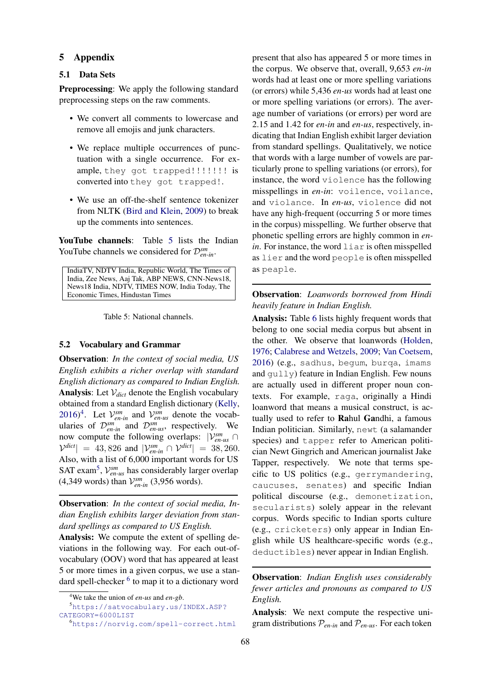### 5 Appendix

### 5.1 Data Sets

Preprocessing: We apply the following standard preprocessing steps on the raw comments.

- We convert all comments to lowercase and remove all emojis and junk characters.
- We replace multiple occurrences of punctuation with a single occurrence. For example, they got trapped!!!!!!!! is converted into they got trapped!.
- We use an off-the-shelf sentence tokenizer from NLTK [\(Bird and Klein,](#page-4-9) [2009\)](#page-4-9) to break up the comments into sentences.

YouTube channels: Table [5](#page-7-0) lists the Indian YouTube channels we considered for  $\mathcal{D}_{en-in}^{sm}$ .

<span id="page-7-0"></span>IndiaTV, NDTV India, Republic World, The Times of India, Zee News, Aaj Tak, ABP NEWS, CNN-News18, News18 India, NDTV, TIMES NOW, India Today, The Economic Times, Hindustan Times

Table 5: National channels.

## 5.2 Vocabulary and Grammar

Observation: *In the context of social media, US English exhibits a richer overlap with standard English dictionary as compared to Indian English.* **Analysis:** Let  $V_{dict}$  denote the English vocabulary obtained from a standard English dictionary [\(Kelly,](#page-5-13) [2016\)](#page-5-13)<sup>[4](#page-7-1)</sup>. Let  $V_{en-in}^{sm}$  and  $V_{en-us}^{sm}$  denote the vocabularies of  $\mathcal{D}_{en-in}^{sm}$  and  $\mathcal{D}_{en-us}^{sm}$ , respectively. We now compute the following overlaps:  $|V_{en-us}^{sm} \cap$  $|\mathcal{V}^{dict}| = 43,826$  and  $|\mathcal{V}_{en-in}^{sm} \cap \mathcal{V}^{dict}| = 38,260$ . Also, with a list of 6,000 important words for US SAT exam<sup>[5](#page-7-2)</sup>,  $V_{en-us}^{sm}$  has considerably larger overlap  $(4,349 \text{ words})$  than  $\mathcal{V}_{en-in}^{sm}$   $(3,956 \text{ words})$ .

Observation: *In the context of social media, Indian English exhibits larger deviation from standard spellings as compared to US English.*

Analysis: We compute the extent of spelling deviations in the following way. For each out-ofvocabulary (OOV) word that has appeared at least 5 or more times in a given corpus, we use a stan-dard spell-checker <sup>[6](#page-7-3)</sup> to map it to a dictionary word

present that also has appeared 5 or more times in the corpus. We observe that, overall, 9,653 *en-in* words had at least one or more spelling variations (or errors) while 5,436 *en-us* words had at least one or more spelling variations (or errors). The average number of variations (or errors) per word are 2.15 and 1.42 for *en-in* and *en-us*, respectively, indicating that Indian English exhibit larger deviation from standard spellings. Qualitatively, we notice that words with a large number of vowels are particularly prone to spelling variations (or errors), for instance, the word violence has the following misspellings in *en-in*: voilence, voilance, and violance. In *en-us*, violence did not have any high-frequent (occurring 5 or more times in the corpus) misspelling. We further observe that phonetic spelling errors are highly common in *enin*. For instance, the word  $\lim_{n \to \infty}$  is often misspelled as lier and the word people is often misspelled as peaple.

## Observation: *Loanwords borrowed from Hindi heavily feature in Indian English.*

Analysis: Table [6](#page-8-0) lists highly frequent words that belong to one social media corpus but absent in the other. We observe that loanwords [\(Holden,](#page-5-14) [1976;](#page-5-14) [Calabrese and Wetzels,](#page-4-4) [2009;](#page-4-4) [Van Coetsem,](#page-6-11) [2016\)](#page-6-11) (e.g., sadhus, begum, burqa, imams and gully) feature in Indian English. Few nouns are actually used in different proper noun contexts. For example, raga, originally a Hindi loanword that means a musical construct, is actually used to refer to Rahul Gandhi, a famous Indian politician. Similarly, newt (a salamander species) and tapper refer to American politician Newt Gingrich and American journalist Jake Tapper, respectively. We note that terms specific to US politics (e.g., gerrymandering, caucuses, senates) and specific Indian political discourse (e.g., demonetization, secularists) solely appear in the relevant corpus. Words specific to Indian sports culture (e.g., cricketers) only appear in Indian English while US healthcare-specific words (e.g., deductibles) never appear in Indian English.

Observation: *Indian English uses considerably fewer articles and pronouns as compared to US English.*

Analysis: We next compute the respective unigram distributions  $P_{en-in}$  and  $P_{en-us}$ . For each token

<span id="page-7-2"></span><span id="page-7-1"></span><sup>4</sup>We take the union of *en-us* and *en-gb*.

<sup>5</sup>[https://satvocabulary.us/INDEX.ASP?](https://satvocabulary.us/INDEX.ASP?CATEGORY=6000LIST) [CATEGORY=6000LIST](https://satvocabulary.us/INDEX.ASP?CATEGORY=6000LIST)

<span id="page-7-3"></span><sup>6</sup><https://norvig.com/spell-correct.html>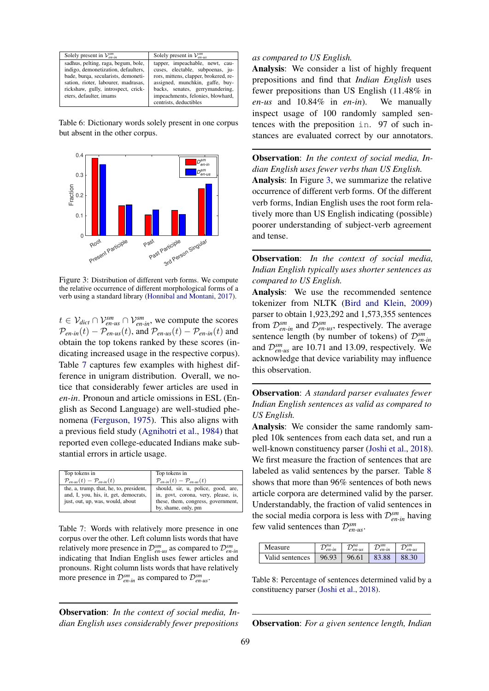<span id="page-8-0"></span>

| Solely present in $\mathcal{V}_{en,in}^{sm}$                                                                                                                                                                               | Solely present in $\mathcal{V}_{en-us}^{sm}$                                                                                                                                                                            |
|----------------------------------------------------------------------------------------------------------------------------------------------------------------------------------------------------------------------------|-------------------------------------------------------------------------------------------------------------------------------------------------------------------------------------------------------------------------|
| sadhus, pelting, raga, begum, bole,<br>indigo, demonetization, defaulters,<br>bade, burga, secularists, demoneti-<br>sation, rioter, labourer, madrasas,<br>rickshaw, gully, introspect, crick-<br>eters, defaulter, imams | tapper, impeachable, newt, cau-<br>cuses, electable, subpoenas, ju-<br>rors, mittens, clapper, brokered, re-<br>assigned, munchkin, gaffe, buy-<br>backs, senates, gerrymandering,<br>impeachments, felonies, blowhard, |
|                                                                                                                                                                                                                            | centrists, deductibles                                                                                                                                                                                                  |

Table 6: Dictionary words solely present in one corpus but absent in the other corpus.

<span id="page-8-2"></span>

Figure 3: Distribution of different verb forms. We compute the relative occurrence of different morphological forms of a verb using a standard library [\(Honnibal and Montani,](#page-5-17) [2017\)](#page-5-17).

 $t \in \mathcal{V}_{dict} \cap \mathcal{V}_{en-us}^{sm} \cap \mathcal{V}_{en-in}^{sm}$ , we compute the scores  $\mathcal{P}_{en-in}(t) - \mathcal{P}_{en-us}(t)$ , and  $\mathcal{P}_{en-us}(t) - \mathcal{P}_{en-in}(t)$  and obtain the top tokens ranked by these scores (indicating increased usage in the respective corpus). Table [7](#page-8-1) captures few examples with highest difference in unigram distribution. Overall, we notice that considerably fewer articles are used in *en-in*. Pronoun and article omissions in ESL (English as Second Language) are well-studied phenomena [\(Ferguson,](#page-5-15) [1975\)](#page-5-15). This also aligns with a previous field study [\(Agnihotri et al.,](#page-4-5) [1984\)](#page-4-5) that reported even college-educated Indians make substantial errors in article usage.

<span id="page-8-1"></span>

| Top tokens in                                                                                                        | Top tokens in                                                                                                                          |
|----------------------------------------------------------------------------------------------------------------------|----------------------------------------------------------------------------------------------------------------------------------------|
| $\mathcal{P}_{envus}(t) - \mathcal{P}_{envin}(t)$                                                                    | $\mathcal{P}_{en-in}(t) - \mathcal{P}_{en-us}(t)$                                                                                      |
| the, a, trump, that, he, to, president,<br>and, I, you, his, it, get, democrats,<br>just, out, up, was, would, about | should, sir, u, police, good, are,<br>in, govt, corona, very, please, is,<br>these, them, congress, government,<br>by, shame, only, pm |

Table 7: Words with relatively more presence in one corpus over the other. Left column lists words that have relatively more presence in  $\mathcal{D}_{en-us}^{sm}$  as compared to  $\mathcal{D}_{en-in}^{sm}$ indicating that Indian English uses fewer articles and pronouns. Right column lists words that have relatively more presence in  $\mathcal{D}_{en-in}^{sm}$  as compared to  $\mathcal{D}_{en-us}^{sm}$ .

Observation: *In the context of social media, Indian English uses considerably fewer prepositions*

## *as compared to US English.*

Analysis: We consider a list of highly frequent prepositions and find that *Indian English* uses fewer prepositions than US English (11.48% in *en-us* and 10.84% in *en-in*). We manually inspect usage of 100 randomly sampled sentences with the preposition in. 97 of such instances are evaluated correct by our annotators.

Observation: *In the context of social media, Indian English uses fewer verbs than US English.* Analysis: In Figure [3,](#page-8-2) we summarize the relative occurrence of different verb forms. Of the different verb forms, Indian English uses the root form relatively more than US English indicating (possible) poorer understanding of subject-verb agreement and tense.

Observation: *In the context of social media, Indian English typically uses shorter sentences as compared to US English.*

Analysis: We use the recommended sentence tokenizer from NLTK [\(Bird and Klein,](#page-4-9) [2009\)](#page-4-9) parser to obtain 1,923,292 and 1,573,355 sentences from  $\mathcal{D}_{en-in}^{sm}$  and  $\mathcal{D}_{en-us}^{sm}$ , respectively. The average sentence length (by number of tokens) of D*sm en-in* and  $\mathcal{D}_{en-us}^{sm}$  are 10.71 and 13.09, respectively. We acknowledge that device variability may influence this observation.

Observation: *A standard parser evaluates fewer Indian English sentences as valid as compared to US English.*

Analysis: We consider the same randomly sampled 10k sentences from each data set, and run a well-known constituency parser [\(Joshi et al.,](#page-5-16) [2018\)](#page-5-16). We first measure the fraction of sentences that are labeled as valid sentences by the parser. Table [8](#page-8-3) shows that more than 96% sentences of both news article corpora are determined valid by the parser. Understandably, the fraction of valid sentences in the social media corpora is less with  $\mathcal{D}_{en-in}^{sm}$  having few valid sentences than  $\mathcal{D}_{en-us}^{sm}$ .

<span id="page-8-3"></span>

| Measure         | $\tau$ na | $\tau$ na   | $\mathcal{D}^{sm}$ | $\tau s$ <i>m</i> |
|-----------------|-----------|-------------|--------------------|-------------------|
|                 | en-in     | $\nu$ en-us | $\nu_{en-in}$      | $\nu$ en-us       |
| Valid sentences | 96.93     | 96.61       | 83.88              | 88.30             |

Table 8: Percentage of sentences determined valid by a constituency parser [\(Joshi et al.,](#page-5-16) [2018\)](#page-5-16).

Observation: *For a given sentence length, Indian*